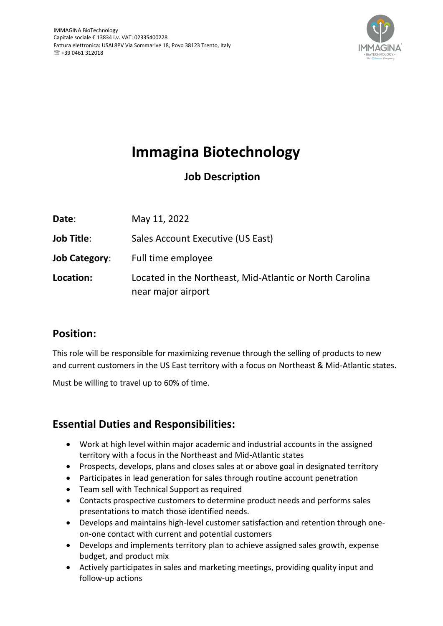

# **Immagina Biotechnology**

## **Job Description**

| Date:                | May 11, 2022                                                                   |
|----------------------|--------------------------------------------------------------------------------|
| Job Title:           | Sales Account Executive (US East)                                              |
| <b>Job Category:</b> | Full time employee                                                             |
| Location:            | Located in the Northeast, Mid-Atlantic or North Carolina<br>near major airport |

### **Position:**

This role will be responsible for maximizing revenue through the selling of products to new and current customers in the US East territory with a focus on Northeast & Mid-Atlantic states.

Must be willing to travel up to 60% of time.

## **Essential Duties and Responsibilities:**

- Work at high level within major academic and industrial accounts in the assigned territory with a focus in the Northeast and Mid-Atlantic states
- Prospects, develops, plans and closes sales at or above goal in designated territory
- Participates in lead generation for sales through routine account penetration
- Team sell with Technical Support as required
- Contacts prospective customers to determine product needs and performs sales presentations to match those identified needs.
- Develops and maintains high-level customer satisfaction and retention through oneon-one contact with current and potential customers
- Develops and implements territory plan to achieve assigned sales growth, expense budget, and product mix
- Actively participates in sales and marketing meetings, providing quality input and follow-up actions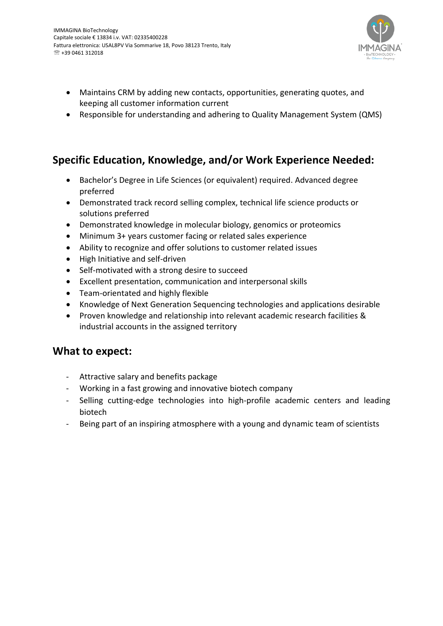

- Maintains CRM by adding new contacts, opportunities, generating quotes, and keeping all customer information current
- Responsible for understanding and adhering to Quality Management System (QMS)

#### **Specific Education, Knowledge, and/or Work Experience Needed:**

- Bachelor's Degree in Life Sciences (or equivalent) required. Advanced degree preferred
- Demonstrated track record selling complex, technical life science products or solutions preferred
- Demonstrated knowledge in molecular biology, genomics or proteomics
- Minimum 3+ years customer facing or related sales experience
- Ability to recognize and offer solutions to customer related issues
- High Initiative and self-driven
- Self-motivated with a strong desire to succeed
- Excellent presentation, communication and interpersonal skills
- Team-orientated and highly flexible
- Knowledge of Next Generation Sequencing technologies and applications desirable
- Proven knowledge and relationship into relevant academic research facilities & industrial accounts in the assigned territory

#### **What to expect:**

- Attractive salary and benefits package
- Working in a fast growing and innovative biotech company
- Selling cutting-edge technologies into high-profile academic centers and leading biotech
- Being part of an inspiring atmosphere with a young and dynamic team of scientists